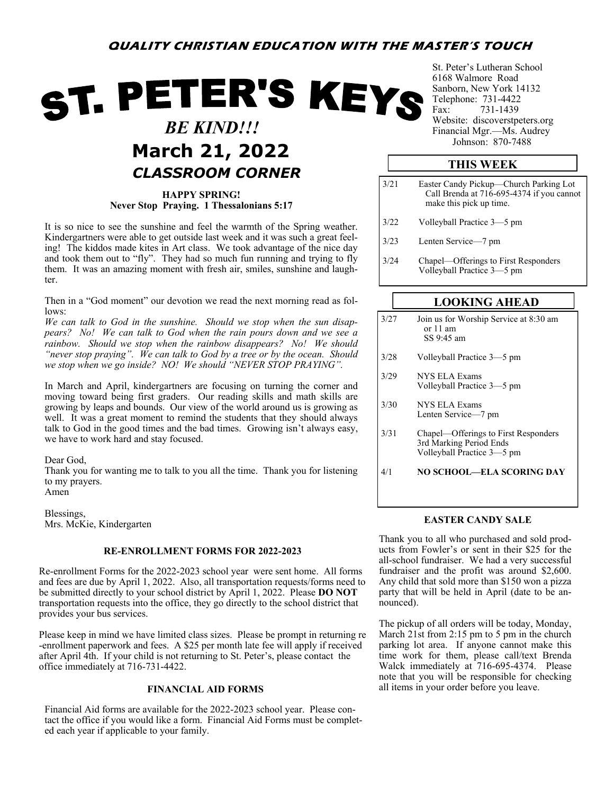## **QUALITY CHRISTIAN EDUCATION WITH THE MASTER'S TOUCH**

# ST. PETER'S KEYS  *BE KIND!!!* **March 21, 2022** *Johnson: 870-7488 CLASSROOM CORNER*

**HAPPY SPRING! Never Stop Praying. 1 Thessalonians 5:17**

It is so nice to see the sunshine and feel the warmth of the Spring weather. Kindergartners were able to get outside last week and it was such a great feeling! The kiddos made kites in Art class. We took advantage of the nice day and took them out to "fly". They had so much fun running and trying to fly them. It was an amazing moment with fresh air, smiles, sunshine and laughter.

Then in a "God moment" our devotion we read the next morning read as follows:

*We can talk to God in the sunshine. Should we stop when the sun disappears? No! We can talk to God when the rain pours down and we see a rainbow. Should we stop when the rainbow disappears? No! We should "never stop praying". We can talk to God by a tree or by the ocean. Should we stop when we go inside? NO! We should "NEVER STOP PRAYING".* 

In March and April, kindergartners are focusing on turning the corner and moving toward being first graders. Our reading skills and math skills are growing by leaps and bounds. Our view of the world around us is growing as well. It was a great moment to remind the students that they should always talk to God in the good times and the bad times. Growing isn't always easy, we have to work hard and stay focused.

Dear God,

Thank you for wanting me to talk to you all the time. Thank you for listening to my prayers. Amen

Blessings, Mrs. McKie, Kindergarten

#### **RE-ENROLLMENT FORMS FOR 2022-2023**

Re-enrollment Forms for the 2022-2023 school year were sent home. All forms and fees are due by April 1, 2022. Also, all transportation requests/forms need to be submitted directly to your school district by April 1, 2022. Please **DO NOT**  transportation requests into the office, they go directly to the school district that provides your bus services.

Please keep in mind we have limited class sizes. Please be prompt in returning re -enrollment paperwork and fees. A \$25 per month late fee will apply if received after April 4th. If your child is not returning to St. Peter's, please contact the office immediately at 716-731-4422.

Financial Aid forms are available for the 2022-2023 school year. Please contact the office if you would like a form. Financial Aid Forms must be completed each year if applicable to your family.

St. Peter's Lutheran School 6168 Walmore Road Sanborn, New York 14132 Telephone: 731-4422 Fax: 731-1439 Website: discoverstpeters.org Financial Mgr.—Ms. Audrey

### **THIS WEEK**

| 3/21 | Easter Candy Pickup—Church Parking Lot<br>Call Brenda at 716-695-4374 if you cannot<br>make this pick up time. |
|------|----------------------------------------------------------------------------------------------------------------|
| 3/22 | Volleyball Practice 3–5 pm                                                                                     |
| 3/23 | Lenten Service-7 pm                                                                                            |
| 3/24 | Chapel—Offerings to First Responders<br>Volleyball Practice 3-5 pm                                             |

#### **LOOKING AHEAD**

| 3/27 | Join us for Worship Service at 8:30 am |  |
|------|----------------------------------------|--|
|      | or $11$ am                             |  |
|      | SS 9:45 am                             |  |

- 3/28 Volleyball Practice 3—5 pm
- 3/29 NYS ELA Exams Volleyball Practice 3—5 pm
- 3/30 NYS ELA Exams Lenten Service—7 pm
- 3/31 Chapel—Offerings to First Responders 3rd Marking Period Ends Volleyball Practice 3—5 pm

4/1 **NO SCHOOL—ELA SCORING DAY**

#### **EASTER CANDY SALE**

Thank you to all who purchased and sold products from Fowler's or sent in their \$25 for the all-school fundraiser. We had a very successful fundraiser and the profit was around \$2,600. Any child that sold more than \$150 won a pizza party that will be held in April (date to be announced).

The pickup of all orders will be today, Monday, March 21st from 2:15 pm to 5 pm in the church parking lot area. If anyone cannot make this time work for them, please call/text Brenda Walck immediately at 716-695-4374. Please note that you will be responsible for checking **FINANCIAL AID FORMS** all items in your order before you leave.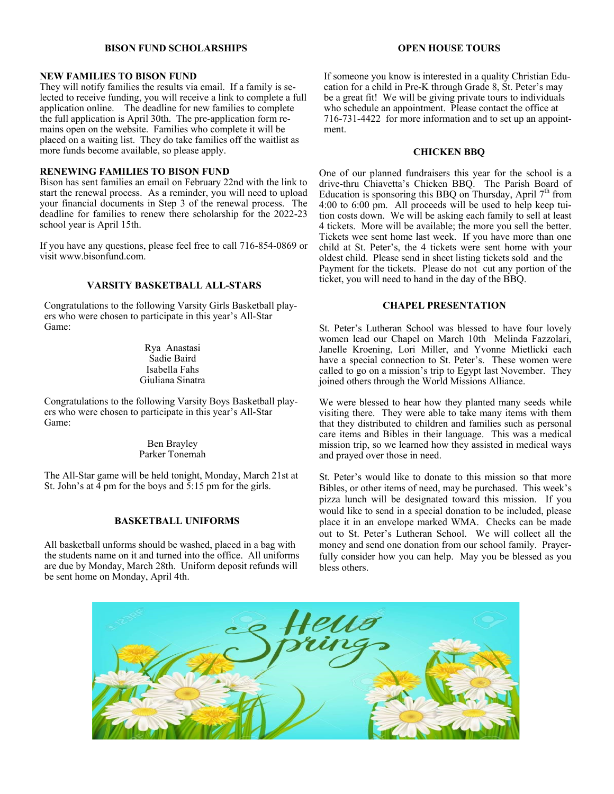#### **BISON FUND SCHOLARSHIPS**

#### **NEW FAMILIES TO BISON FUND**

They will notify families the results via email. If a family is selected to receive funding, you will receive a link to complete a full application online. The deadline for new families to complete the full application is April 30th. The pre-application form remains open on the website. Families who complete it will be placed on a waiting list. They do take families off the waitlist as more funds become available, so please apply.

#### **RENEWING FAMILIES TO BISON FUND**

Bison has sent families an email on February 22nd with the link to start the renewal process. As a reminder, you will need to upload your financial documents in Step 3 of the renewal process. The deadline for families to renew there scholarship for the 2022-23 school year is April 15th.

If you have any questions, please feel free to call 716-854-0869 or visit www.bisonfund.com.

#### **VARSITY BASKETBALL ALL-STARS**

Congratulations to the following Varsity Girls Basketball players who were chosen to participate in this year's All-Star Game:

> Rya Anastasi Sadie Baird Isabella Fahs Giuliana Sinatra

Congratulations to the following Varsity Boys Basketball players who were chosen to participate in this year's All-Star Game:

> Ben Brayley Parker Tonemah

The All-Star game will be held tonight, Monday, March 21st at St. John's at 4 pm for the boys and 5:15 pm for the girls.

#### **BASKETBALL UNIFORMS**

All basketball unforms should be washed, placed in a bag with the students name on it and turned into the office. All uniforms are due by Monday, March 28th. Uniform deposit refunds will be sent home on Monday, April 4th.

#### **OPEN HOUSE TOURS**

If someone you know is interested in a quality Christian Education for a child in Pre-K through Grade 8, St. Peter's may be a great fit! We will be giving private tours to individuals who schedule an appointment. Please contact the office at 716-731-4422 for more information and to set up an appointment.

#### **CHICKEN BBQ**

One of our planned fundraisers this year for the school is a drive-thru Chiavetta's Chicken BBQ. The Parish Board of Education is sponsoring this BBQ on Thursday, April  $7<sup>th</sup>$  from 4:00 to 6:00 pm. All proceeds will be used to help keep tuition costs down. We will be asking each family to sell at least 4 tickets. More will be available; the more you sell the better. Tickets wee sent home last week. If you have more than one child at St. Peter's, the 4 tickets were sent home with your oldest child. Please send in sheet listing tickets sold and the Payment for the tickets. Please do not cut any portion of the ticket, you will need to hand in the day of the BBQ.

#### **CHAPEL PRESENTATION**

St. Peter's Lutheran School was blessed to have four lovely women lead our Chapel on March 10th Melinda Fazzolari, Janelle Kroening, Lori Miller, and Yvonne Mietlicki each have a special connection to St. Peter's. These women were called to go on a mission's trip to Egypt last November. They joined others through the World Missions Alliance.

We were blessed to hear how they planted many seeds while visiting there. They were able to take many items with them that they distributed to children and families such as personal care items and Bibles in their language. This was a medical mission trip, so we learned how they assisted in medical ways and prayed over those in need.

St. Peter's would like to donate to this mission so that more Bibles, or other items of need, may be purchased. This week's pizza lunch will be designated toward this mission. If you would like to send in a special donation to be included, please place it in an envelope marked WMA. Checks can be made out to St. Peter's Lutheran School. We will collect all the money and send one donation from our school family. Prayerfully consider how you can help. May you be blessed as you bless others.